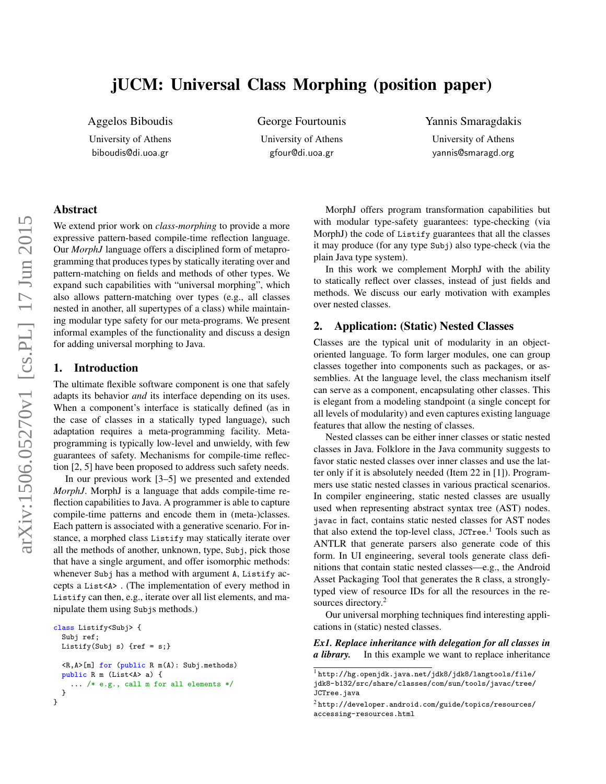# jUCM: Universal Class Morphing (position paper)

Aggelos Biboudis

University of Athens biboudis@di.uoa.gr

George Fourtounis

University of Athens gfour@di.uoa.gr

#### Yannis Smaragdakis

University of Athens yannis@smaragd.org

## Abstract

We extend prior work on *class-morphing* to provide a more expressive pattern-based compile-time reflection language. Our *MorphJ* language offers a disciplined form of metaprogramming that produces types by statically iterating over and pattern-matching on fields and methods of other types. We expand such capabilities with "universal morphing", which also allows pattern-matching over types (e.g., all classes nested in another, all supertypes of a class) while maintaining modular type safety for our meta-programs. We present informal examples of the functionality and discuss a design for adding universal morphing to Java.

### 1. Introduction

The ultimate flexible software component is one that safely adapts its behavior *and* its interface depending on its uses. When a component's interface is statically defined (as in the case of classes in a statically typed language), such adaptation requires a meta-programming facility. Metaprogramming is typically low-level and unwieldy, with few guarantees of safety. Mechanisms for compile-time reflection [\[2,](#page-1-0) [5\]](#page-1-1) have been proposed to address such safety needs.

In our previous work [\[3](#page-1-2)[–5\]](#page-1-1) we presented and extended *MorphJ*. MorphJ is a language that adds compile-time reflection capabilities to Java. A programmer is able to capture compile-time patterns and encode them in (meta-)classes. Each pattern is associated with a generative scenario. For instance, a morphed class Listify may statically iterate over all the methods of another, unknown, type, Subj, pick those that have a single argument, and offer isomorphic methods: whenever Subj has a method with argument A, Listify accepts a List<A> . (The implementation of every method in Listify can then, e.g., iterate over all list elements, and manipulate them using Subjs methods.)

```
class Listify<Subj> {
 Subj ref;
 Listify(Subj s) \{ref = s\}<R,A>[m] for (public R m(A): Subj.methods)
 public R m (List<A> a) {
    ... /* e.g., call m for all elements */
 }
}
```
MorphJ offers program transformation capabilities but with modular type-safety guarantees: type-checking (via MorphJ) the code of Listify guarantees that all the classes it may produce (for any type Subj) also type-check (via the plain Java type system).

In this work we complement MorphJ with the ability to statically reflect over classes, instead of just fields and methods. We discuss our early motivation with examples over nested classes.

## 2. Application: (Static) Nested Classes

Classes are the typical unit of modularity in an objectoriented language. To form larger modules, one can group classes together into components such as packages, or assemblies. At the language level, the class mechanism itself can serve as a component, encapsulating other classes. This is elegant from a modeling standpoint (a single concept for all levels of modularity) and even captures existing language features that allow the nesting of classes.

Nested classes can be either inner classes or static nested classes in Java. Folklore in the Java community suggests to favor static nested classes over inner classes and use the latter only if it is absolutely needed (Item 22 in [\[1\]](#page-1-3)). Programmers use static nested classes in various practical scenarios. In compiler engineering, static nested classes are usually used when representing abstract syntax tree (AST) nodes. javac in fact, contains static nested classes for AST nodes that also extend the top-level class, JCTree.<sup>[1](#page-0-0)</sup> Tools such as ANTLR that generate parsers also generate code of this form. In UI engineering, several tools generate class definitions that contain static nested classes—e.g., the Android Asset Packaging Tool that generates the R class, a stronglytyped view of resource IDs for all the resources in the re-sources directory.<sup>[2](#page-0-1)</sup>

Our universal morphing techniques find interesting applications in (static) nested classes.

*Ex1. Replace inheritance with delegation for all classes in a library.* In this example we want to replace inheritance

<span id="page-0-0"></span> $\overline{\frac{1 \text{http://hg.openjdk.java.net/jdk8/jdk8/langtools/file/}}$  $\overline{\frac{1 \text{http://hg.openjdk.java.net/jdk8/jdk8/langtools/file/}}$  $\overline{\frac{1 \text{http://hg.openjdk.java.net/jdk8/jdk8/langtools/file/}}$ [jdk8-b132/src/share/classes/com/sun/tools/javac/tree/](http://hg.openjdk.java.net/jdk8/jdk8/langtools/file/jdk8-b132/src/share/classes/com/sun/tools/javac/tree/JCTree.java) [JCTree.java](http://hg.openjdk.java.net/jdk8/jdk8/langtools/file/jdk8-b132/src/share/classes/com/sun/tools/javac/tree/JCTree.java)

<span id="page-0-1"></span> $^2$ [http://developer.android.com/guide/topics/resources/](http://developer.android.com/guide/topics/resources/accessing-resources.html) [accessing-resources.html](http://developer.android.com/guide/topics/resources/accessing-resources.html)